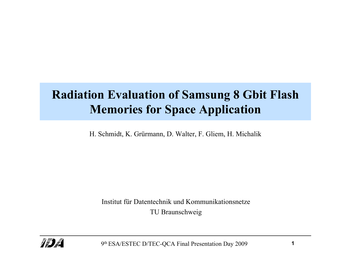# **Radiation Evaluation of Samsung 8 Gbit Flash Memories for Space Application**

H. Schmidt, K. Grürmann, D. Walter, F. Gliem, H. Michalik

Institut für Datentechnik und KommunikationsnetzeTU Braunschweig



9th ESA/ESTEC D/TEC-QCA Final Presentation Day 2009 **<sup>1</sup>**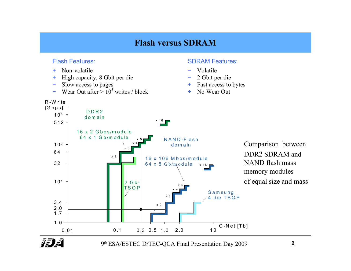### **Flash versus SDRAM**

#### Flash Features:

+ Non-volatile

R -W rite

- +High capacity, 8 Gbit per die − 2 Gbit per die
- −
- −Wear Out after  $> 10^5$  writes / block +

#### SDRAM Features:

- <sup>−</sup> Volatile
- 
- Slow access to pages  $+$  Fast access to bytes
	- No Wear Out



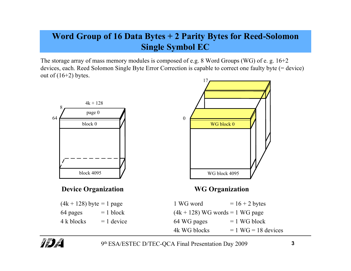# **Word Group of 16 Data Bytes + 2 Parity Bytes for Reed-Solomon Single Symbol EC**

The storage array of mass memory modules is composed of e.g. 8 Word Groups (WG) of e. g. 16+2 devices, each. Reed Solomon Single Byte Error Correction is capable to correct one faulty byte (= device) out of  $(16+2)$  bytes. 17



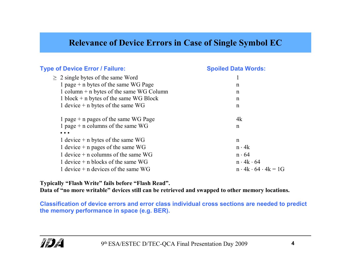### **Relevance of Device Errors in Case of Single Symbol EC**

| <b>Type of Device Error / Failure:</b>                            | <b>Spoiled Data Words:</b>          |
|-------------------------------------------------------------------|-------------------------------------|
| $\geq 2$ single bytes of the same Word                            |                                     |
| 1 page $+$ n bytes of the same WG Page                            | n                                   |
| 1 column $+$ n bytes of the same WG Column                        | n                                   |
| 1 block $+$ n bytes of the same WG Block                          | n                                   |
| 1 device $+$ n bytes of the same WG                               | n                                   |
| 1 page $+$ n pages of the same WG Page                            | 4k                                  |
| 1 page + n columns of the same $WG$                               | n                                   |
| $\bullet\hspace{0.4mm}\bullet\hspace{0.4mm}\bullet\hspace{0.4mm}$ |                                     |
| 1 device $+$ n bytes of the same WG                               | n                                   |
| 1 device $+$ n pages of the same WG                               | $n \cdot 4k$                        |
| 1 device $+$ n columns of the same WG                             | $n \cdot 64$                        |
| 1 device $+$ n blocks of the same WG                              | $n \cdot 4k \cdot 64$               |
| 1 device $+$ n devices of the same WG                             | $n \cdot 4k \cdot 64 \cdot 4k = 1G$ |

**Typically "Flash Write" fails before "Flash Read".** 

**Data of "no more writable" devices still can be retrieved and swapped to other memory locations.** 

**Classification of device errors and error class individual cross sections are needed to predict the memory performance in space (e.g. BER).**

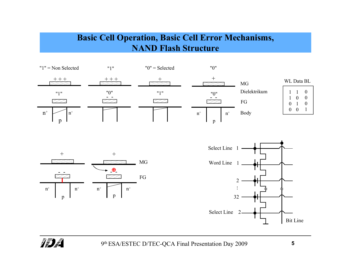# **Basic Cell Operation, Basic Cell Error Mechanisms, NAND Flash Structure**







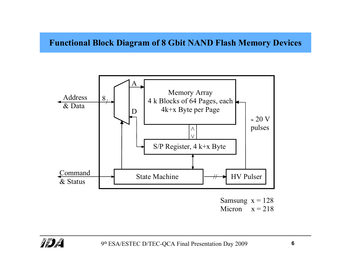#### **Functional Block Diagram of 8 Gbit NAND Flash Memory Devices**



Micron  $x = 218$ 

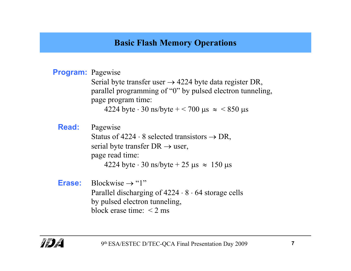# **Basic Flash Memory Operations**

#### **Program:** Pagewise

Serial byte transfer user  $\rightarrow$  4224 byte data register DR, parallel programming of "0" by pulsed electron tunneling, page program time:

4224 byte  $\cdot$  30 ns/byte  $+$  < 700 µs  $\approx$  < 850 µs

**Read:** Pagewise Status of  $4224 \cdot 8$  selected transistors  $\rightarrow$  DR, serial byte transfer  $DR \rightarrow$  user, page read time:

4224 byte  $\cdot$  30 ns/byte + 25 µs  $\approx$  150 µs

**Erase:** Blockwise → "1" Parallel discharging of 4224 ⋅ 8 ⋅ 64 storage cells by pulsed electron tunneling, block erase time:  $\leq$  2 ms

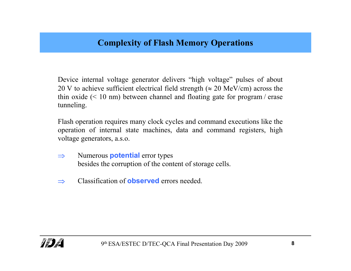Device internal voltage generator delivers "high voltage" pulses of about 20 V to achieve sufficient electrical field strength ( $\approx$  20 MeV/cm) across the thin oxide  $(< 10 \text{ nm})$  between channel and floating gate for program / erase tunneling.

Flash operation requires many clock cycles and command executions like the operation of internal state machines, data and command registers, high voltage generators, a.s.o.

- ⇒ Numerous **potential** error types besides the corruption of the content of storage cells.
- ⇒Classification of **observed** errors needed.

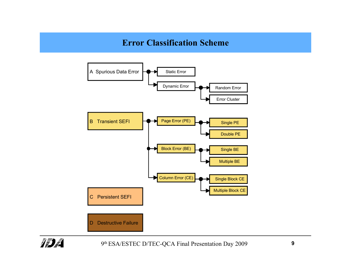### **Error Classification Scheme**



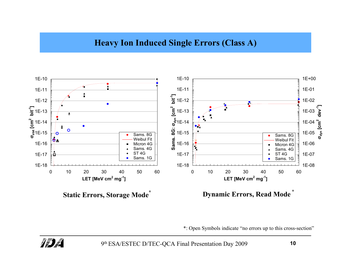### **Heavy Ion Induced Single Errors (Class A)**



\*: Open Symbols indicate "no errors up to this cross-section"

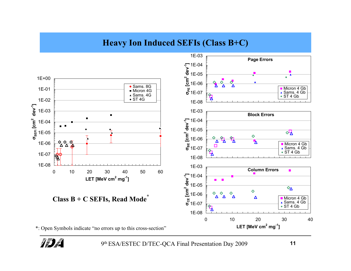# **Heavy Ion Induced SEFIs (Class B+C)**





9th ESA/ESTEC D/TEC-QCA Final Presentation Day 2009 **<sup>11</sup>**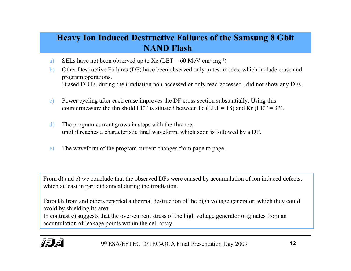# **Heavy Ion Induced Destructive Failures of the Samsung 8 Gbit NAND Flash**

- a) SELs have not been observed up to Xe (LET = 60 MeV cm<sup>2</sup> mg<sup>-1</sup>)
- b) Other Destructive Failures (DF) have been observed only in test modes, which include erase and program operations. Biased DUTs, during the irradiation non-accessed or only read-accessed , did not show any DFs.
- c) Power cycling after each erase improves the DF cross section substantially. Using this countermeasure the threshold LET is situated between Fe (LET = 18) and Kr (LET = 32).
- d) The program current grows in steps with the fluence, until it reaches a characteristic final waveform, which soon is followed by a DF.
- e) The waveform of the program current changes from page to page.

From d) and e) we conclude that the observed DFs were caused by accumulation of ion induced defects, which at least in part did anneal during the irradiation.

Faroukh Irom and others reported a thermal destruction of the high voltage generator, which they could avoid by shielding its area.

In contrast e) suggests that the over-current stress of the high voltage generator originates from an accumulation of leakage points within the cell array.

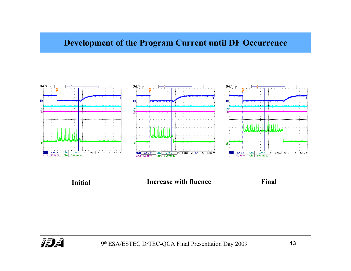### **Development of the Program Current until DF Occurrence**



**Initial**

#### **Increase with fluence Final**

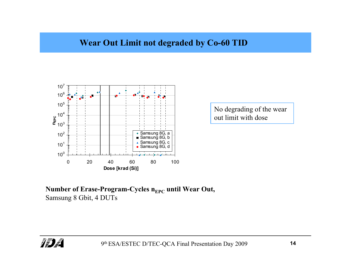### **Wear Out Limit not degraded by Co-60 TID**



No degrading of the wear out limit with dose

<code>Number</code> of Erase-Program-Cycles n<sub>EPC</sub> <code>until Wear Out,</code> Samsung 8 Gbit, 4 DUTs

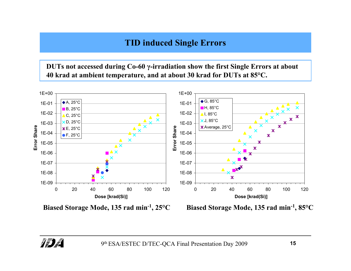# **TID induced Single Errors**

**DUTs not accessed during Co-60 γ-irradiation show the first Single Errors at about 40 krad at ambient temperature, and at about 30 krad for DUTs at 85°C.**



**Biased Storage Mode, 135 rad min-1, 25°C**

**Biased Storage Mode, 135 rad min-1, 85°C**

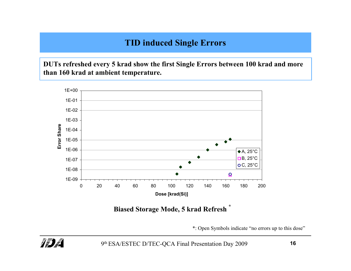# **TID induced Single Errors**

**DUTs refreshed every 5 krad show the first Single Errors between 100 krad and more than 160 krad at ambient temperature.**



**Biased Storage Mode, 5 krad Refresh \***

\*: Open Symbols indicate "no errors up to this dose"

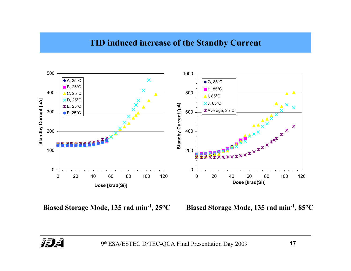#### **TID induced increase of the Standby Current**



**Biased Storage Mode, 135 rad min<sup>-1</sup>, 25<sup>o</sup>C** 

**Storage Mode, 135 rad min-1, 25°C Biased Storage Mode, 135 rad min-1, 85°C**

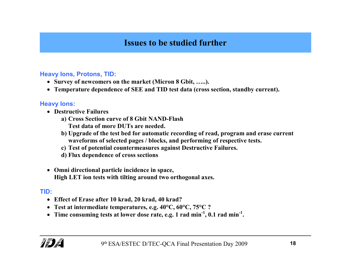# **Issues to be studied further**

#### **Heavy Ions, Protons, TID:**

- **Survey of newcomers on the market (Micron 8 Gbit, …..).**
- **Temperature dependence of SEE and TID test data (cross section, standby current).**

#### **Heavy Ions:**

- **Destructive Failures** 
	- **a) Cross Section curve of 8 Gbit NAND-Flash Test data of more DUTs are needed.**
	- **b) Upgrade of the test bed for automatic recording of read, program and erase current waveforms of selected pages / blocks, and performing of respective tests.**
	- **c) Test of potential countermeasures against Destructive Failures.**
	- **d) Flux dependence of cross sections**
- **Omni directional particle incidence in space, High LET ion tests with tilting around two orthogonal axes.**

#### **TID:**

- **Effect of Erase after 10 krad, 20 krad, 40 krad?**
- **Test at intermediate temperatures, e.g. 40°C, 60°C, 75°C ?**
- **Time consuming tests at lower dose rate, e.g. 1 rad min-1, 0.1 rad min-1.**